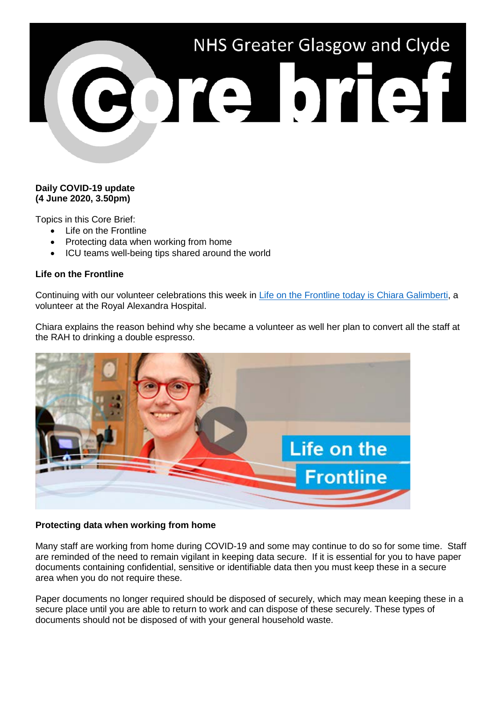

## **Daily COVID-19 update (4 June 2020, 3.50pm)**

Topics in this Core Brief:

- Life on the Frontline
- Protecting data when working from home
- ICU teams well-being tips shared around the world

## **Life on the Frontline**

Continuing with our volunteer celebrations this week in [Life on the Frontline today is Chiara Galimberti,](https://www.youtube.com/watch?v=o2GWsFyuA-A) a volunteer at the Royal Alexandra Hospital.

Chiara explains the reason behind why she became a volunteer as well her plan to convert all the staff at the RAH to drinking a double espresso.



## **Protecting data when working from home**

Many staff are working from home during COVID-19 and some may continue to do so for some time. Staff are reminded of the need to remain vigilant in keeping data secure. If it is essential for you to have paper documents containing confidential, sensitive or identifiable data then you must keep these in a secure area when you do not require these.

Paper documents no longer required should be disposed of securely, which may mean keeping these in a secure place until you are able to return to work and can dispose of these securely. These types of documents should not be disposed of with your general household waste.